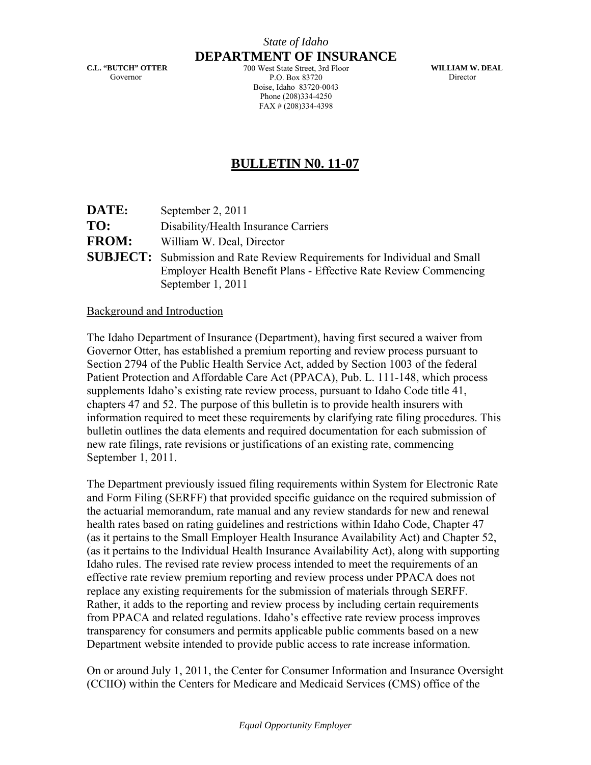### *State of Idaho* **DEPARTMENT OF INSURANCE**

**C.L. "BUTCH" OTTER**  Governor

700 West State Street, 3rd Floor P.O. Box 83720 Boise, Idaho 83720-0043 Phone (208)334-4250 FAX # (208)334-4398

**WILLIAM W. DEAL**  Director

# **BULLETIN N0. 11-07**

| <b>DATE:</b> | September 2, 2011                                                                                                                                                         |
|--------------|---------------------------------------------------------------------------------------------------------------------------------------------------------------------------|
| TO:          | Disability/Health Insurance Carriers                                                                                                                                      |
| <b>FROM:</b> | William W. Deal, Director                                                                                                                                                 |
|              | <b>SUBJECT:</b> Submission and Rate Review Requirements for Individual and Small<br>Employer Health Benefit Plans - Effective Rate Review Commencing<br>September 1, 2011 |

#### Background and Introduction

The Idaho Department of Insurance (Department), having first secured a waiver from Governor Otter, has established a premium reporting and review process pursuant to Section 2794 of the Public Health Service Act, added by Section 1003 of the federal Patient Protection and Affordable Care Act (PPACA), Pub. L. 111-148, which process supplements Idaho's existing rate review process, pursuant to Idaho Code title 41, chapters 47 and 52. The purpose of this bulletin is to provide health insurers with information required to meet these requirements by clarifying rate filing procedures. This bulletin outlines the data elements and required documentation for each submission of new rate filings, rate revisions or justifications of an existing rate, commencing September 1, 2011.

The Department previously issued filing requirements within System for Electronic Rate and Form Filing (SERFF) that provided specific guidance on the required submission of the actuarial memorandum, rate manual and any review standards for new and renewal health rates based on rating guidelines and restrictions within Idaho Code, Chapter 47 (as it pertains to the Small Employer Health Insurance Availability Act) and Chapter 52, (as it pertains to the Individual Health Insurance Availability Act), along with supporting Idaho rules. The revised rate review process intended to meet the requirements of an effective rate review premium reporting and review process under PPACA does not replace any existing requirements for the submission of materials through SERFF. Rather, it adds to the reporting and review process by including certain requirements from PPACA and related regulations. Idaho's effective rate review process improves transparency for consumers and permits applicable public comments based on a new Department website intended to provide public access to rate increase information.

On or around July 1, 2011, the Center for Consumer Information and Insurance Oversight (CCIIO) within the Centers for Medicare and Medicaid Services (CMS) office of the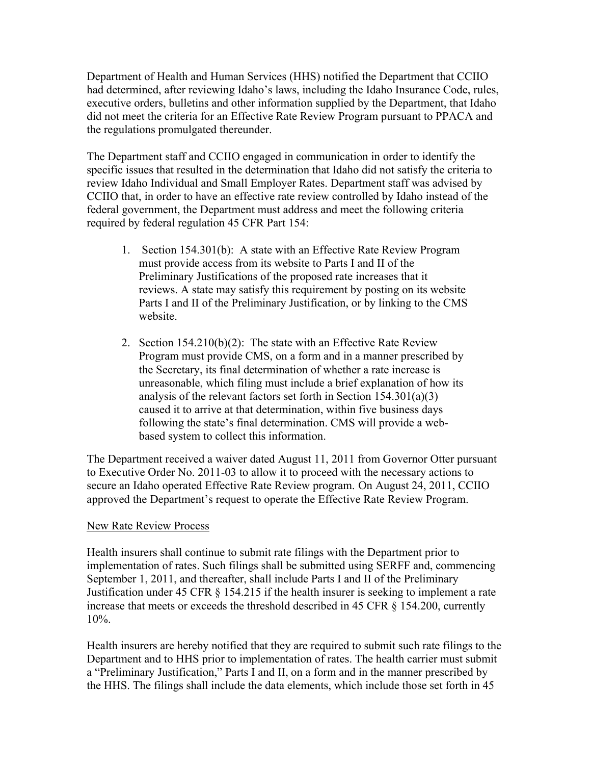Department of Health and Human Services (HHS) notified the Department that CCIIO had determined, after reviewing Idaho's laws, including the Idaho Insurance Code, rules, executive orders, bulletins and other information supplied by the Department, that Idaho did not meet the criteria for an Effective Rate Review Program pursuant to PPACA and the regulations promulgated thereunder.

The Department staff and CCIIO engaged in communication in order to identify the specific issues that resulted in the determination that Idaho did not satisfy the criteria to review Idaho Individual and Small Employer Rates. Department staff was advised by CCIIO that, in order to have an effective rate review controlled by Idaho instead of the federal government, the Department must address and meet the following criteria required by federal regulation 45 CFR Part 154:

- 1. Section 154.301(b): A state with an Effective Rate Review Program must provide access from its website to Parts I and II of the Preliminary Justifications of the proposed rate increases that it reviews. A state may satisfy this requirement by posting on its website Parts I and II of the Preliminary Justification, or by linking to the CMS website.
- 2. Section 154.210(b)(2): The state with an Effective Rate Review Program must provide CMS, on a form and in a manner prescribed by the Secretary, its final determination of whether a rate increase is unreasonable, which filing must include a brief explanation of how its analysis of the relevant factors set forth in Section 154.301(a)(3) caused it to arrive at that determination, within five business days following the state's final determination. CMS will provide a webbased system to collect this information.

The Department received a waiver dated August 11, 2011 from Governor Otter pursuant to Executive Order No. 2011-03 to allow it to proceed with the necessary actions to secure an Idaho operated Effective Rate Review program. On August 24, 2011, CCIIO approved the Department's request to operate the Effective Rate Review Program.

## New Rate Review Process

Health insurers shall continue to submit rate filings with the Department prior to implementation of rates. Such filings shall be submitted using SERFF and, commencing September 1, 2011, and thereafter, shall include Parts I and II of the Preliminary Justification under 45 CFR § 154.215 if the health insurer is seeking to implement a rate increase that meets or exceeds the threshold described in 45 CFR § 154.200, currently 10%.

Health insurers are hereby notified that they are required to submit such rate filings to the Department and to HHS prior to implementation of rates. The health carrier must submit a "Preliminary Justification," Parts I and II, on a form and in the manner prescribed by the HHS. The filings shall include the data elements, which include those set forth in 45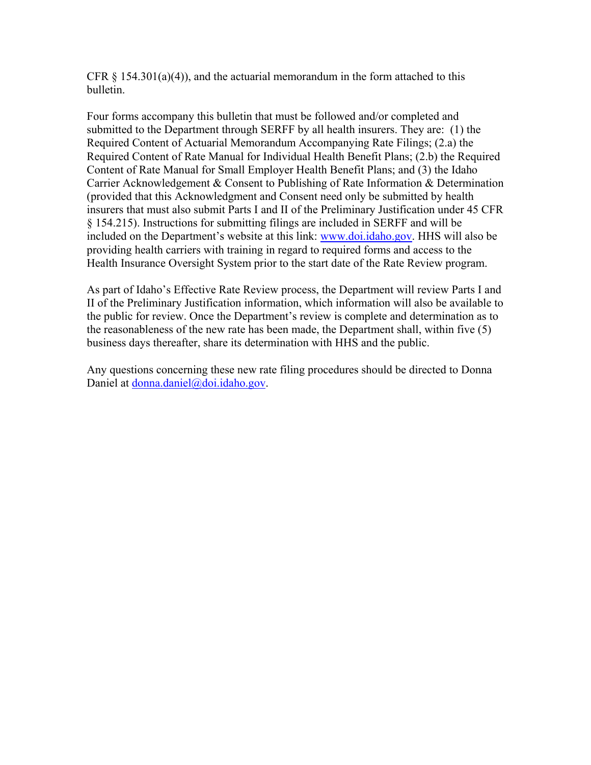CFR  $\S$  154.301(a)(4)), and the actuarial memorandum in the form attached to this bulletin.

Four forms accompany this bulletin that must be followed and/or completed and submitted to the Department through SERFF by all health insurers. They are: (1) the Required Content of Actuarial Memorandum Accompanying Rate Filings; (2.a) the Required Content of Rate Manual for Individual Health Benefit Plans; (2.b) the Required Content of Rate Manual for Small Employer Health Benefit Plans; and (3) the Idaho Carrier Acknowledgement & Consent to Publishing of Rate Information & Determination (provided that this Acknowledgment and Consent need only be submitted by health insurers that must also submit Parts I and II of the Preliminary Justification under 45 CFR § 154.215). Instructions for submitting filings are included in SERFF and will be included on the Department's website at this link: www.doi.idaho.gov. HHS will also be providing health carriers with training in regard to required forms and access to the Health Insurance Oversight System prior to the start date of the Rate Review program.

As part of Idaho's Effective Rate Review process, the Department will review Parts I and II of the Preliminary Justification information, which information will also be available to the public for review. Once the Department's review is complete and determination as to the reasonableness of the new rate has been made, the Department shall, within five (5) business days thereafter, share its determination with HHS and the public.

Any questions concerning these new rate filing procedures should be directed to Donna Daniel at donna.daniel@doi.idaho.gov.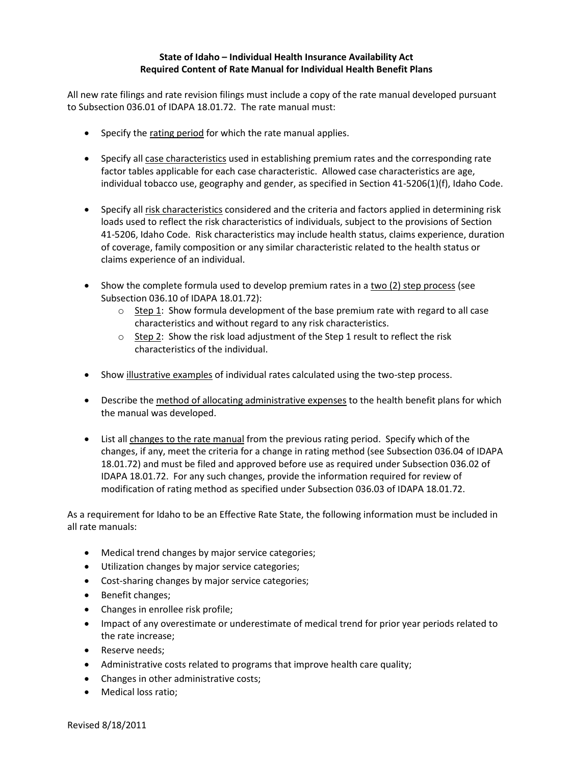#### **State of Idaho – Individual Health Insurance Availability Act Required Content of Rate Manual for Individual Health Benefit Plans**

All new rate filings and rate revision filings must include a copy of the rate manual developed pursuant to Subsection 036.01 of IDAPA 18.01.72. The rate manual must:

- Specify the rating period for which the rate manual applies.
- Specify all case characteristics used in establishing premium rates and the corresponding rate factor tables applicable for each case characteristic. Allowed case characteristics are age, individual tobacco use, geography and gender, as specified in Section 41-5206(1)(f), Idaho Code.
- Specify all risk characteristics considered and the criteria and factors applied in determining risk loads used to reflect the risk characteristics of individuals, subject to the provisions of Section 41-5206, Idaho Code. Risk characteristics may include health status, claims experience, duration of coverage, family composition or any similar characteristic related to the health status or claims experience of an individual.
- Show the complete formula used to develop premium rates in a two (2) step process (see Subsection 036.10 of IDAPA 18.01.72):
	- $\circ$  Step 1: Show formula development of the base premium rate with regard to all case characteristics and without regard to any risk characteristics.
	- $\circ$  Step 2: Show the risk load adjustment of the Step 1 result to reflect the risk characteristics of the individual.
- Show illustrative examples of individual rates calculated using the two-step process.
- **•** Describe the method of allocating administrative expenses to the health benefit plans for which the manual was developed.
- List all changes to the rate manual from the previous rating period. Specify which of the changes, if any, meet the criteria for a change in rating method (see Subsection 036.04 of IDAPA 18.01.72) and must be filed and approved before use as required under Subsection 036.02 of IDAPA 18.01.72. For any such changes, provide the information required for review of modification of rating method as specified under Subsection 036.03 of IDAPA 18.01.72.

As a requirement for Idaho to be an Effective Rate State, the following information must be included in all rate manuals:

- Medical trend changes by major service categories;
- Utilization changes by major service categories;
- Cost-sharing changes by major service categories;
- Benefit changes;
- Changes in enrollee risk profile;
- Impact of any overestimate or underestimate of medical trend for prior year periods related to the rate increase;
- Reserve needs:
- Administrative costs related to programs that improve health care quality;
- Changes in other administrative costs;
- Medical loss ratio;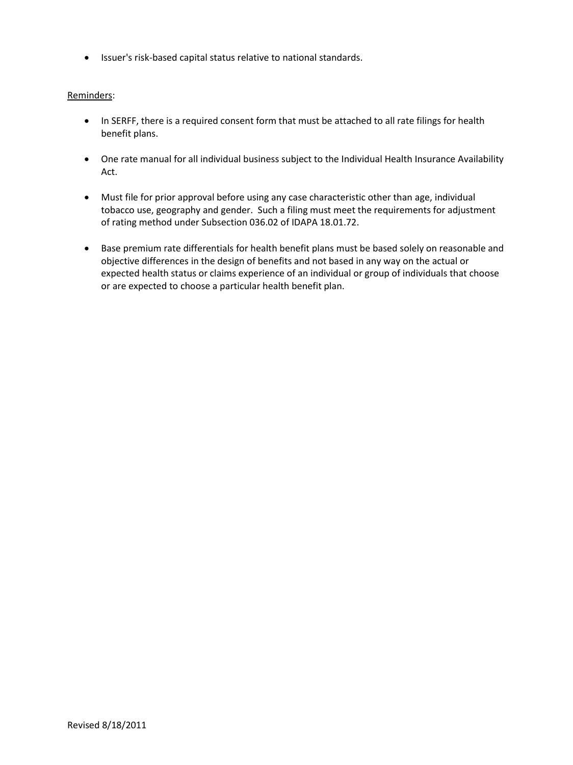Issuer's risk-based capital status relative to national standards.

#### Reminders:

- In SERFF, there is a required consent form that must be attached to all rate filings for health benefit plans.
- One rate manual for all individual business subject to the Individual Health Insurance Availability Act.
- Must file for prior approval before using any case characteristic other than age, individual tobacco use, geography and gender. Such a filing must meet the requirements for adjustment of rating method under Subsection 036.02 of IDAPA 18.01.72.
- Base premium rate differentials for health benefit plans must be based solely on reasonable and objective differences in the design of benefits and not based in any way on the actual or expected health status or claims experience of an individual or group of individuals that choose or are expected to choose a particular health benefit plan.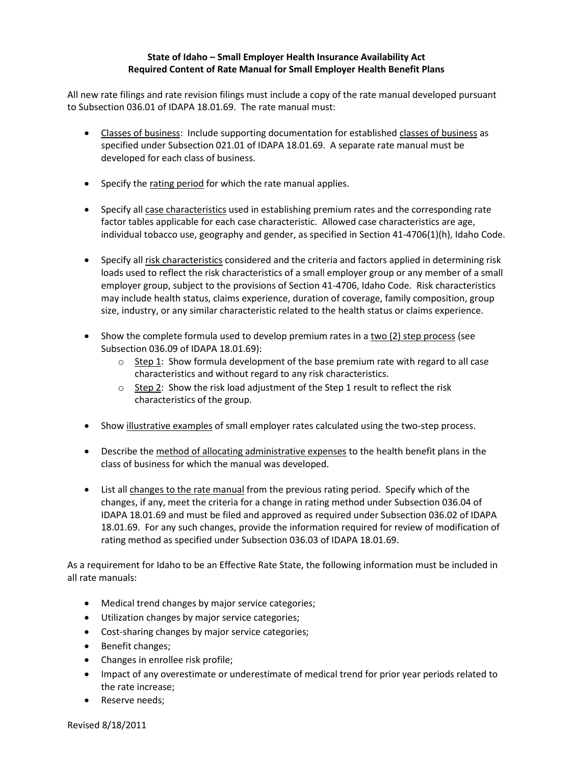#### **State of Idaho – Small Employer Health Insurance Availability Act Required Content of Rate Manual for Small Employer Health Benefit Plans**

All new rate filings and rate revision filings must include a copy of the rate manual developed pursuant to Subsection 036.01 of IDAPA 18.01.69. The rate manual must:

- Classes of business: Include supporting documentation for established classes of business as specified under Subsection 021.01 of IDAPA 18.01.69. A separate rate manual must be developed for each class of business.
- Specify the rating period for which the rate manual applies.
- Specify all case characteristics used in establishing premium rates and the corresponding rate factor tables applicable for each case characteristic. Allowed case characteristics are age, individual tobacco use, geography and gender, as specified in Section 41-4706(1)(h), Idaho Code.
- Specify all risk characteristics considered and the criteria and factors applied in determining risk loads used to reflect the risk characteristics of a small employer group or any member of a small employer group, subject to the provisions of Section 41-4706, Idaho Code. Risk characteristics may include health status, claims experience, duration of coverage, family composition, group size, industry, or any similar characteristic related to the health status or claims experience.
- Show the complete formula used to develop premium rates in a two (2) step process (see Subsection 036.09 of IDAPA 18.01.69):
	- $\circ$  Step 1: Show formula development of the base premium rate with regard to all case characteristics and without regard to any risk characteristics.
	- $\circ$  Step 2: Show the risk load adjustment of the Step 1 result to reflect the risk characteristics of the group.
- Show illustrative examples of small employer rates calculated using the two-step process.
- Describe the method of allocating administrative expenses to the health benefit plans in the class of business for which the manual was developed.
- List all changes to the rate manual from the previous rating period. Specify which of the changes, if any, meet the criteria for a change in rating method under Subsection 036.04 of IDAPA 18.01.69 and must be filed and approved as required under Subsection 036.02 of IDAPA 18.01.69. For any such changes, provide the information required for review of modification of rating method as specified under Subsection 036.03 of IDAPA 18.01.69.

As a requirement for Idaho to be an Effective Rate State, the following information must be included in all rate manuals:

- Medical trend changes by major service categories;
- Utilization changes by major service categories;
- Cost-sharing changes by major service categories;
- Benefit changes;
- Changes in enrollee risk profile;
- Impact of any overestimate or underestimate of medical trend for prior year periods related to the rate increase;
- Reserve needs;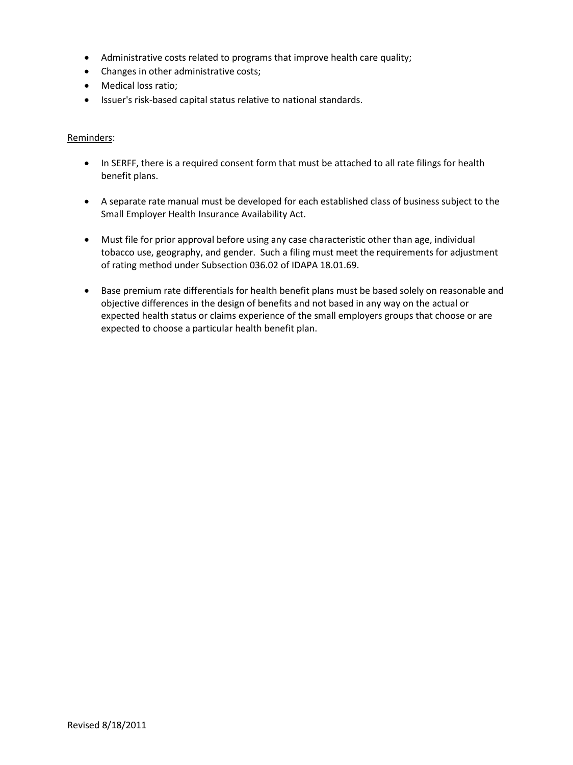- Administrative costs related to programs that improve health care quality;
- Changes in other administrative costs;
- Medical loss ratio;
- Issuer's risk-based capital status relative to national standards.

#### Reminders:

- In SERFF, there is a required consent form that must be attached to all rate filings for health benefit plans.
- A separate rate manual must be developed for each established class of business subject to the Small Employer Health Insurance Availability Act.
- Must file for prior approval before using any case characteristic other than age, individual tobacco use, geography, and gender. Such a filing must meet the requirements for adjustment of rating method under Subsection 036.02 of IDAPA 18.01.69.
- Base premium rate differentials for health benefit plans must be based solely on reasonable and objective differences in the design of benefits and not based in any way on the actual or expected health status or claims experience of the small employers groups that choose or are expected to choose a particular health benefit plan.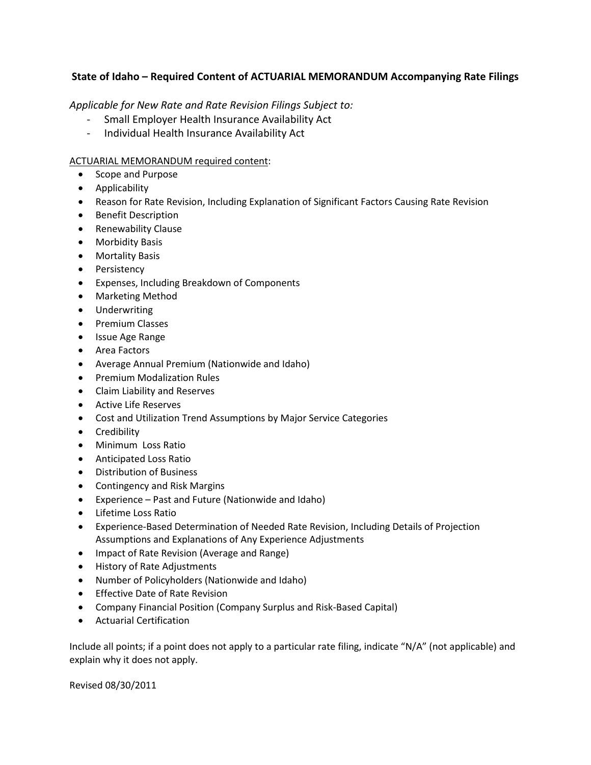## **State of Idaho – Required Content of ACTUARIAL MEMORANDUM Accompanying Rate Filings**

*Applicable for New Rate and Rate Revision Filings Subject to:* 

- Small Employer Health Insurance Availability Act
- Individual Health Insurance Availability Act

#### ACTUARIAL MEMORANDUM required content:

- Scope and Purpose
- Applicability
- Reason for Rate Revision, Including Explanation of Significant Factors Causing Rate Revision
- Benefit Description
- Renewability Clause
- Morbidity Basis
- Mortality Basis
- Persistency
- Expenses, Including Breakdown of Components
- Marketing Method
- Underwriting
- Premium Classes
- Issue Age Range
- Area Factors
- Average Annual Premium (Nationwide and Idaho)
- **•** Premium Modalization Rules
- Claim Liability and Reserves
- Active Life Reserves
- Cost and Utilization Trend Assumptions by Major Service Categories
- Credibility
- Minimum Loss Ratio
- Anticipated Loss Ratio
- Distribution of Business
- Contingency and Risk Margins
- Experience Past and Future (Nationwide and Idaho)
- Lifetime Loss Ratio
- Experience-Based Determination of Needed Rate Revision, Including Details of Projection Assumptions and Explanations of Any Experience Adjustments
- Impact of Rate Revision (Average and Range)
- History of Rate Adjustments
- Number of Policyholders (Nationwide and Idaho)
- **•** Effective Date of Rate Revision
- Company Financial Position (Company Surplus and Risk-Based Capital)
- Actuarial Certification

Include all points; if a point does not apply to a particular rate filing, indicate "N/A" (not applicable) and explain why it does not apply.

Revised 08/30/2011